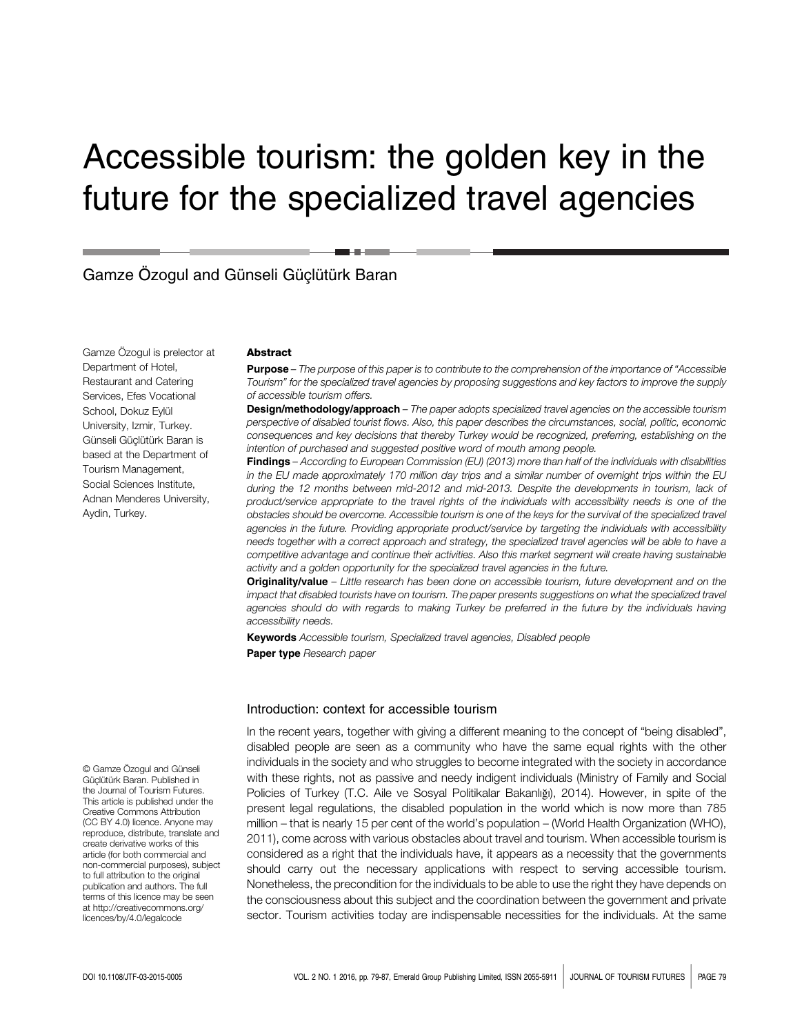# Accessible tourism: the golden key in the future for the specialized travel agencies

# Gamze Özogul and Günseli Güçlütürk Baran

Gamze Özogul is prelector at Department of Hotel, Restaurant and Catering Services, Efes Vocational School, Dokuz Eylül University, Izmir, Turkey. Günseli Güçlütürk Baran is based at the Department of Tourism Management, Social Sciences Institute, Adnan Menderes University, Aydin, Turkey.

#### **Abstract**

**Purpose** – The purpose of this paper is to contribute to the comprehension of the importance of "Accessible Tourism" for the specialized travel agencies by proposing suggestions and key factors to improve the supply of accessible tourism offers.

Design/methodology/approach - The paper adopts specialized travel agencies on the accessible tourism perspective of disabled tourist flows. Also, this paper describes the circumstances, social, politic, economic consequences and key decisions that thereby Turkey would be recognized, preferring, establishing on the intention of purchased and suggested positive word of mouth among people.

Findings – According to European Commission (EU) (2013) more than half of the individuals with disabilities in the EU made approximately 170 million day trips and a similar number of overnight trips within the EU during the 12 months between mid-2012 and mid-2013. Despite the developments in tourism, lack of product/service appropriate to the travel rights of the individuals with accessibility needs is one of the obstacles should be overcome. Accessible tourism is one of the keys for the survival of the specialized travel agencies in the future. Providing appropriate product/service by targeting the individuals with accessibility needs together with a correct approach and strategy, the specialized travel agencies will be able to have a competitive advantage and continue their activities. Also this market segment will create having sustainable activity and a golden opportunity for the specialized travel agencies in the future.

**Originality/value** – Little research has been done on accessible tourism, future development and on the impact that disabled tourists have on tourism. The paper presents suggestions on what the specialized travel agencies should do with regards to making Turkey be preferred in the future by the individuals having accessibility needs.

Keywords Accessible tourism, Specialized travel agencies, Disabled people Paper type Research paper

#### Introduction: context for accessible tourism

In the recent years, together with giving a different meaning to the concept of "being disabled", disabled people are seen as a community who have the same equal rights with the other individuals in the society and who struggles to become integrated with the society in accordance with these rights, not as passive and needy indigent individuals (Ministry of Family and Social Policies of Turkey (T.C. Aile ve Sosyal Politikalar Bakanlığı), 2014). However, in spite of the present legal regulations, the disabled population in the world which is now more than 785 million – that is nearly 15 per cent of the world's population – (World Health Organization (WHO), 2011), come across with various obstacles about travel and tourism. When accessible tourism is considered as a right that the individuals have, it appears as a necessity that the governments should carry out the necessary applications with respect to serving accessible tourism. Nonetheless, the precondition for the individuals to be able to use the right they have depends on the consciousness about this subject and the coordination between the government and private sector. Tourism activities today are indispensable necessities for the individuals. At the same

© Gamze Özogul and Günseli Güçlütürk Baran. Published in the Journal of Tourism Futures. This article is published under the Creative Commons Attribution (CC BY 4.0) licence. Anyone may reproduce, distribute, translate and create derivative works of this article (for both commercial and non-commercial purposes), subject to full attribution to the original publication and authors. The full terms of this licence may be seen at [http://creativecommons.org/](http://creativecommons.org/licences/by/4.0/legalcode) [licences/by/4.0/legalcode](http://creativecommons.org/licences/by/4.0/legalcode)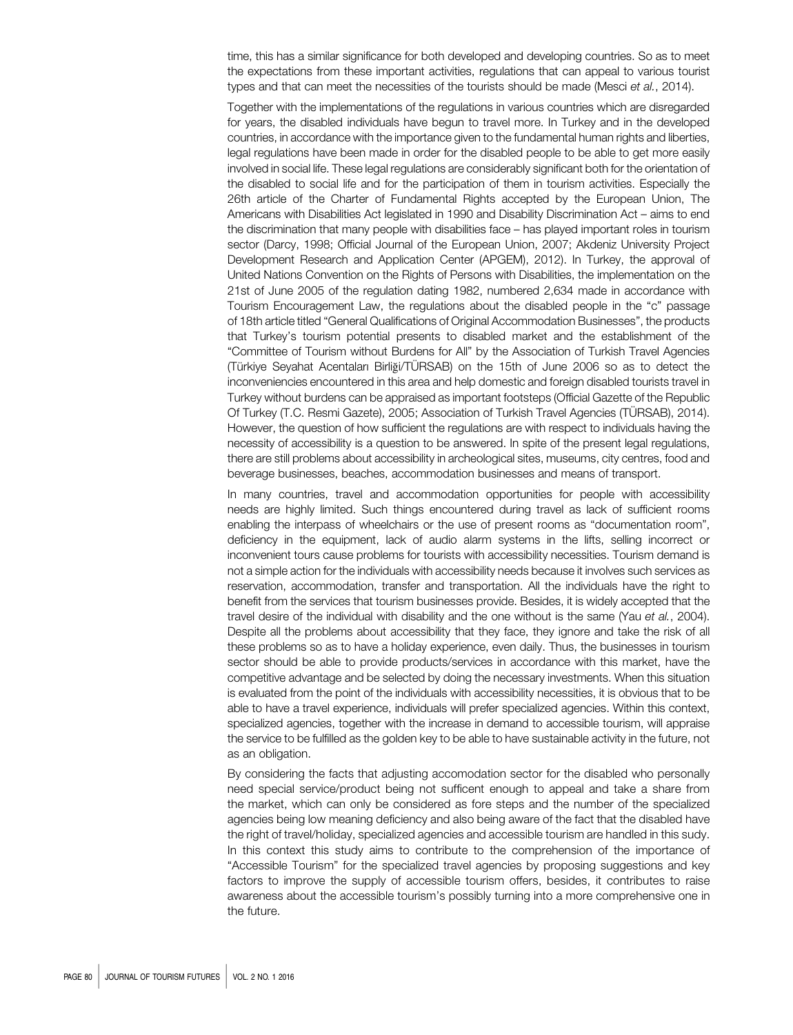time, this has a similar significance for both developed and developing countries. So as to meet the expectations from these important activities, regulations that can appeal to various tourist types and that can meet the necessities of the tourists should be made (Mesci et al., 2014).

Together with the implementations of the regulations in various countries which are disregarded for years, the disabled individuals have begun to travel more. In Turkey and in the developed countries, in accordance with the importance given to the fundamental human rights and liberties, legal regulations have been made in order for the disabled people to be able to get more easily involved in social life. These legal regulations are considerably significant both for the orientation of the disabled to social life and for the participation of them in tourism activities. Especially the 26th article of the Charter of Fundamental Rights accepted by the European Union, The Americans with Disabilities Act legislated in 1990 and Disability Discrimination Act – aims to end the discrimination that many people with disabilities face – has played important roles in tourism sector (Darcy, 1998; Official Journal of the European Union, 2007; Akdeniz University Project Development Research and Application Center (APGEM), 2012). In Turkey, the approval of United Nations Convention on the Rights of Persons with Disabilities, the implementation on the 21st of June 2005 of the regulation dating 1982, numbered 2,634 made in accordance with Tourism Encouragement Law, the regulations about the disabled people in the "c" passage of 18th article titled "General Qualifications of Original Accommodation Businesses", the products that Turkey's tourism potential presents to disabled market and the establishment of the "Committee of Tourism without Burdens for All" by the Association of Turkish Travel Agencies (Türkiye Seyahat Acentaları Birliği/TÜRSAB) on the 15th of June 2006 so as to detect the inconveniencies encountered in this area and help domestic and foreign disabled tourists travel in Turkey without burdens can be appraised as important footsteps (Official Gazette of the Republic Of Turkey (T.C. Resmi Gazete), 2005; Association of Turkish Travel Agencies (TÜRSAB), 2014). However, the question of how sufficient the regulations are with respect to individuals having the necessity of accessibility is a question to be answered. In spite of the present legal regulations, there are still problems about accessibility in archeological sites, museums, city centres, food and beverage businesses, beaches, accommodation businesses and means of transport.

In many countries, travel and accommodation opportunities for people with accessibility needs are highly limited. Such things encountered during travel as lack of sufficient rooms enabling the interpass of wheelchairs or the use of present rooms as "documentation room", deficiency in the equipment, lack of audio alarm systems in the lifts, selling incorrect or inconvenient tours cause problems for tourists with accessibility necessities. Tourism demand is not a simple action for the individuals with accessibility needs because it involves such services as reservation, accommodation, transfer and transportation. All the individuals have the right to benefit from the services that tourism businesses provide. Besides, it is widely accepted that the travel desire of the individual with disability and the one without is the same (Yau et al., 2004). Despite all the problems about accessibility that they face, they ignore and take the risk of all these problems so as to have a holiday experience, even daily. Thus, the businesses in tourism sector should be able to provide products/services in accordance with this market, have the competitive advantage and be selected by doing the necessary investments. When this situation is evaluated from the point of the individuals with accessibility necessities, it is obvious that to be able to have a travel experience, individuals will prefer specialized agencies. Within this context, specialized agencies, together with the increase in demand to accessible tourism, will appraise the service to be fulfilled as the golden key to be able to have sustainable activity in the future, not as an obligation.

By considering the facts that adjusting accomodation sector for the disabled who personally need special service/product being not sufficent enough to appeal and take a share from the market, which can only be considered as fore steps and the number of the specialized agencies being low meaning deficiency and also being aware of the fact that the disabled have the right of travel/holiday, specialized agencies and accessible tourism are handled in this sudy. In this context this study aims to contribute to the comprehension of the importance of "Accessible Tourism" for the specialized travel agencies by proposing suggestions and key factors to improve the supply of accessible tourism offers, besides, it contributes to raise awareness about the accessible tourism's possibly turning into a more comprehensive one in the future.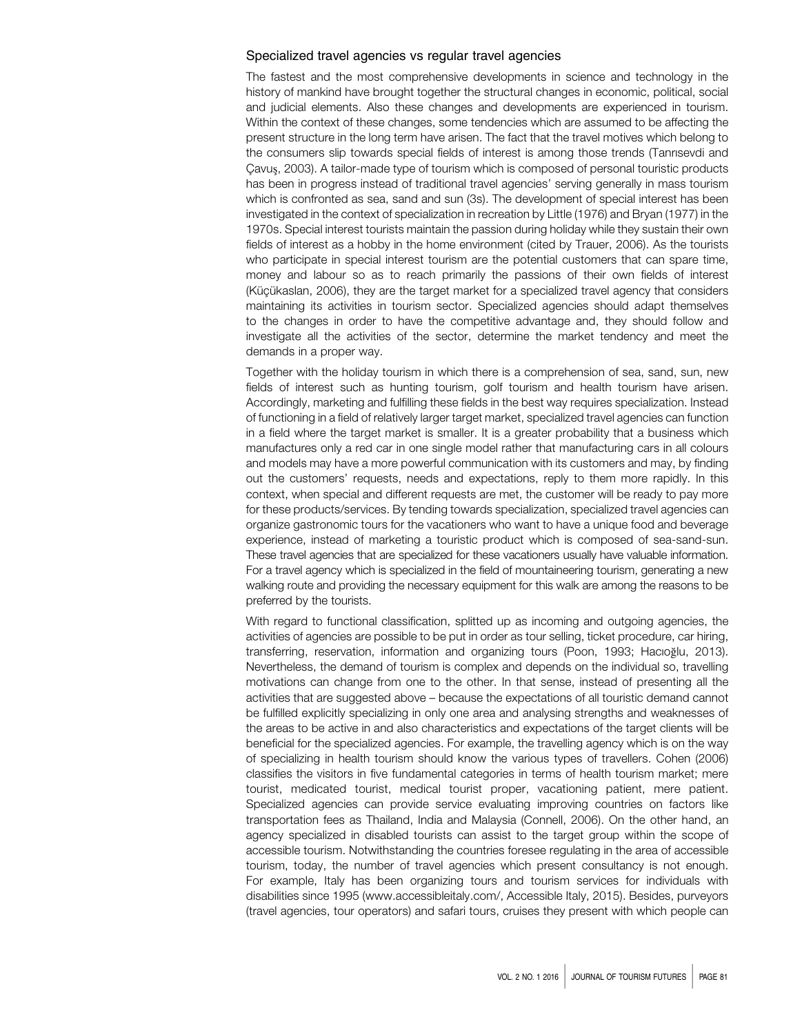#### Specialized travel agencies vs regular travel agencies

The fastest and the most comprehensive developments in science and technology in the history of mankind have brought together the structural changes in economic, political, social and judicial elements. Also these changes and developments are experienced in tourism. Within the context of these changes, some tendencies which are assumed to be affecting the present structure in the long term have arisen. The fact that the travel motives which belong to the consumers slip towards special fields of interest is among those trends (Tanrısevdi and Çavuş, 2003). A tailor-made type of tourism which is composed of personal touristic products has been in progress instead of traditional travel agencies' serving generally in mass tourism which is confronted as sea, sand and sun (3s). The development of special interest has been investigated in the context of specialization in recreation by Little (1976) and Bryan (1977) in the 1970s. Special interest tourists maintain the passion during holiday while they sustain their own fields of interest as a hobby in the home environment (cited by Trauer, 2006). As the tourists who participate in special interest tourism are the potential customers that can spare time, money and labour so as to reach primarily the passions of their own fields of interest (Küçükaslan, 2006), they are the target market for a specialized travel agency that considers maintaining its activities in tourism sector. Specialized agencies should adapt themselves to the changes in order to have the competitive advantage and, they should follow and investigate all the activities of the sector, determine the market tendency and meet the demands in a proper way.

Together with the holiday tourism in which there is a comprehension of sea, sand, sun, new fields of interest such as hunting tourism, golf tourism and health tourism have arisen. Accordingly, marketing and fulfilling these fields in the best way requires specialization. Instead of functioning in a field of relatively larger target market, specialized travel agencies can function in a field where the target market is smaller. It is a greater probability that a business which manufactures only a red car in one single model rather that manufacturing cars in all colours and models may have a more powerful communication with its customers and may, by finding out the customers' requests, needs and expectations, reply to them more rapidly. In this context, when special and different requests are met, the customer will be ready to pay more for these products/services. By tending towards specialization, specialized travel agencies can organize gastronomic tours for the vacationers who want to have a unique food and beverage experience, instead of marketing a touristic product which is composed of sea-sand-sun. These travel agencies that are specialized for these vacationers usually have valuable information. For a travel agency which is specialized in the field of mountaineering tourism, generating a new walking route and providing the necessary equipment for this walk are among the reasons to be preferred by the tourists.

With regard to functional classification, splitted up as incoming and outgoing agencies, the activities of agencies are possible to be put in order as tour selling, ticket procedure, car hiring, transferring, reservation, information and organizing tours (Poon, 1993; Hacıoğlu, 2013). Nevertheless, the demand of tourism is complex and depends on the individual so, travelling motivations can change from one to the other. In that sense, instead of presenting all the activities that are suggested above – because the expectations of all touristic demand cannot be fulfilled explicitly specializing in only one area and analysing strengths and weaknesses of the areas to be active in and also characteristics and expectations of the target clients will be beneficial for the specialized agencies. For example, the travelling agency which is on the way of specializing in health tourism should know the various types of travellers. Cohen (2006) classifies the visitors in five fundamental categories in terms of health tourism market; mere tourist, medicated tourist, medical tourist proper, vacationing patient, mere patient. Specialized agencies can provide service evaluating improving countries on factors like transportation fees as Thailand, India and Malaysia (Connell, 2006). On the other hand, an agency specialized in disabled tourists can assist to the target group within the scope of accessible tourism. Notwithstanding the countries foresee regulating in the area of accessible tourism, today, the number of travel agencies which present consultancy is not enough. For example, Italy has been organizing tours and tourism services for individuals with disabilities since 1995 [\(www.accessibleitaly.com/,](www.accessibleitaly.com/) Accessible Italy, 2015). Besides, purveyors (travel agencies, tour operators) and safari tours, cruises they present with which people can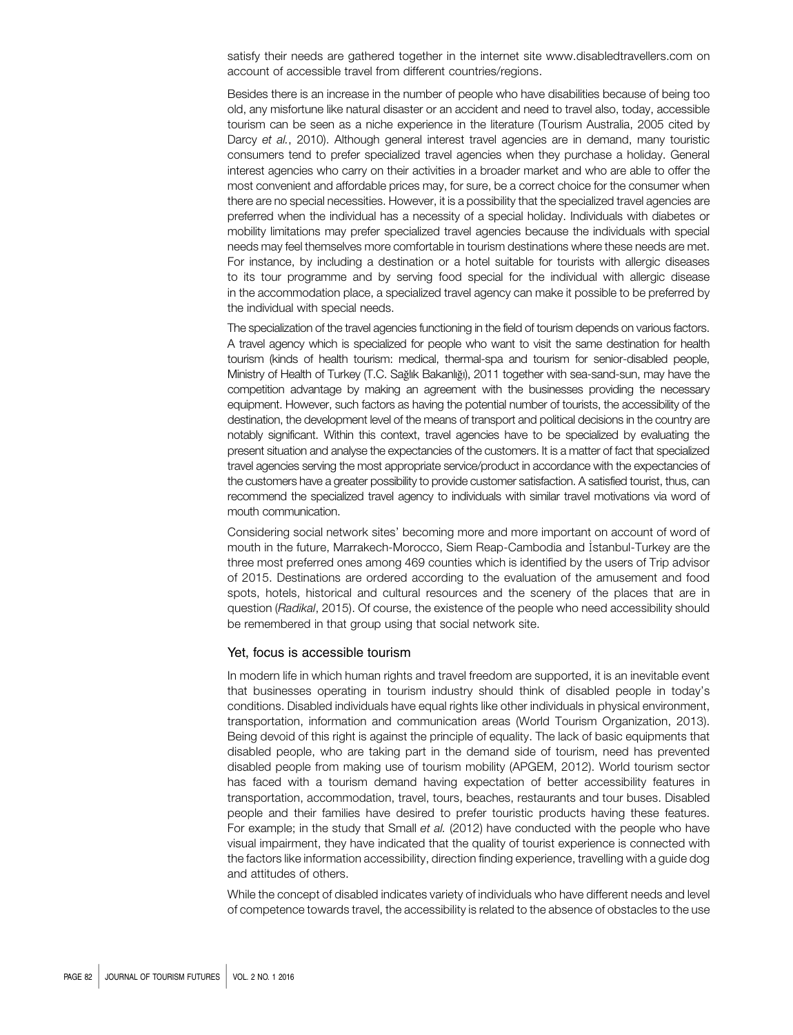satisfy their needs are gathered together in the internet site<www.disabledtravellers.com> on account of accessible travel from different countries/regions.

Besides there is an increase in the number of people who have disabilities because of being too old, any misfortune like natural disaster or an accident and need to travel also, today, accessible tourism can be seen as a niche experience in the literature (Tourism Australia, 2005 cited by Darcy et al., 2010). Although general interest travel agencies are in demand, many touristic consumers tend to prefer specialized travel agencies when they purchase a holiday. General interest agencies who carry on their activities in a broader market and who are able to offer the most convenient and affordable prices may, for sure, be a correct choice for the consumer when there are no special necessities. However, it is a possibility that the specialized travel agencies are preferred when the individual has a necessity of a special holiday. Individuals with diabetes or mobility limitations may prefer specialized travel agencies because the individuals with special needs may feel themselves more comfortable in tourism destinations where these needs are met. For instance, by including a destination or a hotel suitable for tourists with allergic diseases to its tour programme and by serving food special for the individual with allergic disease in the accommodation place, a specialized travel agency can make it possible to be preferred by the individual with special needs.

The specialization of the travel agencies functioning in the field of tourism depends on various factors. A travel agency which is specialized for people who want to visit the same destination for health tourism (kinds of health tourism: medical, thermal-spa and tourism for senior-disabled people, Ministry of Health of Turkey (T.C. Sağlık Bakanlığı), 2011 together with sea-sand-sun, may have the competition advantage by making an agreement with the businesses providing the necessary equipment. However, such factors as having the potential number of tourists, the accessibility of the destination, the development level of the means of transport and political decisions in the country are notably significant. Within this context, travel agencies have to be specialized by evaluating the present situation and analyse the expectancies of the customers. It is a matter of fact that specialized travel agencies serving the most appropriate service/product in accordance with the expectancies of the customers have a greater possibility to provide customer satisfaction. A satisfied tourist, thus, can recommend the specialized travel agency to individuals with similar travel motivations via word of mouth communication.

Considering social network sites' becoming more and more important on account of word of mouth in the future, Marrakech-Morocco, Siem Reap-Cambodia and I˙stanbul-Turkey are the three most preferred ones among 469 counties which is identified by the users of Trip advisor of 2015. Destinations are ordered according to the evaluation of the amusement and food spots, hotels, historical and cultural resources and the scenery of the places that are in question (Radikal, 2015). Of course, the existence of the people who need accessibility should be remembered in that group using that social network site.

#### Yet, focus is accessible tourism

In modern life in which human rights and travel freedom are supported, it is an inevitable event that businesses operating in tourism industry should think of disabled people in today's conditions. Disabled individuals have equal rights like other individuals in physical environment, transportation, information and communication areas (World Tourism Organization, 2013). Being devoid of this right is against the principle of equality. The lack of basic equipments that disabled people, who are taking part in the demand side of tourism, need has prevented disabled people from making use of tourism mobility (APGEM, 2012). World tourism sector has faced with a tourism demand having expectation of better accessibility features in transportation, accommodation, travel, tours, beaches, restaurants and tour buses. Disabled people and their families have desired to prefer touristic products having these features. For example; in the study that Small et al. (2012) have conducted with the people who have visual impairment, they have indicated that the quality of tourist experience is connected with the factors like information accessibility, direction finding experience, travelling with a guide dog and attitudes of others.

While the concept of disabled indicates variety of individuals who have different needs and level of competence towards travel, the accessibility is related to the absence of obstacles to the use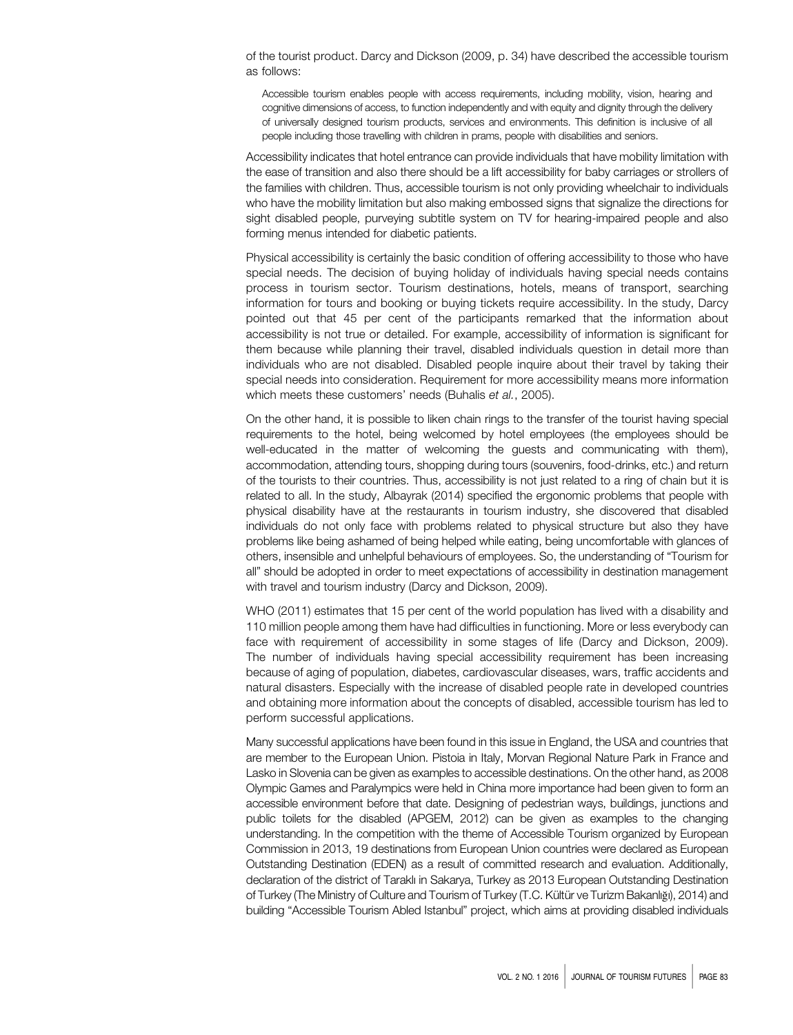of the tourist product. Darcy and Dickson (2009, p. 34) have described the accessible tourism as follows:

Accessible tourism enables people with access requirements, including mobility, vision, hearing and cognitive dimensions of access, to function independently and with equity and dignity through the delivery of universally designed tourism products, services and environments. This definition is inclusive of all people including those travelling with children in prams, people with disabilities and seniors.

Accessibility indicates that hotel entrance can provide individuals that have mobility limitation with the ease of transition and also there should be a lift accessibility for baby carriages or strollers of the families with children. Thus, accessible tourism is not only providing wheelchair to individuals who have the mobility limitation but also making embossed signs that signalize the directions for sight disabled people, purveying subtitle system on TV for hearing-impaired people and also forming menus intended for diabetic patients.

Physical accessibility is certainly the basic condition of offering accessibility to those who have special needs. The decision of buying holiday of individuals having special needs contains process in tourism sector. Tourism destinations, hotels, means of transport, searching information for tours and booking or buying tickets require accessibility. In the study, Darcy pointed out that 45 per cent of the participants remarked that the information about accessibility is not true or detailed. For example, accessibility of information is significant for them because while planning their travel, disabled individuals question in detail more than individuals who are not disabled. Disabled people inquire about their travel by taking their special needs into consideration. Requirement for more accessibility means more information which meets these customers' needs (Buhalis et al., 2005).

On the other hand, it is possible to liken chain rings to the transfer of the tourist having special requirements to the hotel, being welcomed by hotel employees (the employees should be well-educated in the matter of welcoming the guests and communicating with them), accommodation, attending tours, shopping during tours (souvenirs, food-drinks, etc.) and return of the tourists to their countries. Thus, accessibility is not just related to a ring of chain but it is related to all. In the study, Albayrak (2014) specified the ergonomic problems that people with physical disability have at the restaurants in tourism industry, she discovered that disabled individuals do not only face with problems related to physical structure but also they have problems like being ashamed of being helped while eating, being uncomfortable with glances of others, insensible and unhelpful behaviours of employees. So, the understanding of "Tourism for all" should be adopted in order to meet expectations of accessibility in destination management with travel and tourism industry (Darcy and Dickson, 2009).

WHO (2011) estimates that 15 per cent of the world population has lived with a disability and 110 million people among them have had difficulties in functioning. More or less everybody can face with requirement of accessibility in some stages of life (Darcy and Dickson, 2009). The number of individuals having special accessibility requirement has been increasing because of aging of population, diabetes, cardiovascular diseases, wars, traffic accidents and natural disasters. Especially with the increase of disabled people rate in developed countries and obtaining more information about the concepts of disabled, accessible tourism has led to perform successful applications.

Many successful applications have been found in this issue in England, the USA and countries that are member to the European Union. Pistoia in Italy, Morvan Regional Nature Park in France and Lasko in Slovenia can be given as examples to accessible destinations. On the other hand, as 2008 Olympic Games and Paralympics were held in China more importance had been given to form an accessible environment before that date. Designing of pedestrian ways, buildings, junctions and public toilets for the disabled (APGEM, 2012) can be given as examples to the changing understanding. In the competition with the theme of Accessible Tourism organized by European Commission in 2013, 19 destinations from European Union countries were declared as European Outstanding Destination (EDEN) as a result of committed research and evaluation. Additionally, declaration of the district of Taraklı in Sakarya, Turkey as 2013 European Outstanding Destination of Turkey (The Ministry of Culture and Tourism of Turkey (T.C. Kültür ve Turizm Bakanlığı), 2014) and building "Accessible Tourism Abled Istanbul" project, which aims at providing disabled individuals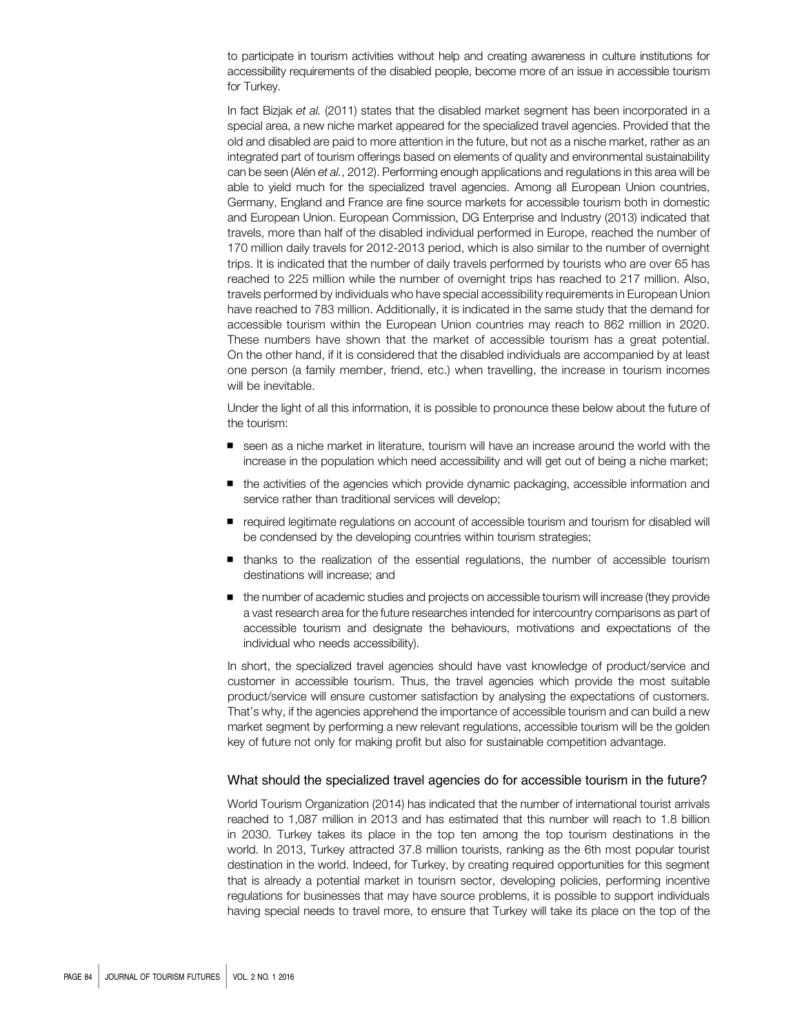to participate in tourism activities without help and creating awareness in culture institutions for accessibility requirements of the disabled people, become more of an issue in accessible tourism for Turkey.

In fact Bizjak et al. (2011) states that the disabled market segment has been incorporated in a special area, a new niche market appeared for the specialized travel agencies. Provided that the old and disabled are paid to more attention in the future, but not as a nische market, rather as an integrated part of tourism offerings based on elements of quality and environmental sustainability can be seen (Alén et al., 2012). Performing enough applications and regulations in this area will be able to yield much for the specialized travel agencies. Among all European Union countries, Germany, England and France are fine source markets for accessible tourism both in domestic and European Union. European Commission, DG Enterprise and Industry (2013) indicated that travels, more than half of the disabled individual performed in Europe, reached the number of 170 million daily travels for 2012-2013 period, which is also similar to the number of overnight trips. It is indicated that the number of daily travels performed by tourists who are over 65 has reached to 225 million while the number of overnight trips has reached to 217 million. Also, travels performed by individuals who have special accessibility requirements in European Union have reached to 783 million. Additionally, it is indicated in the same study that the demand for accessible tourism within the European Union countries may reach to 862 million in 2020. These numbers have shown that the market of accessible tourism has a great potential. On the other hand, if it is considered that the disabled individuals are accompanied by at least one person (a family member, friend, etc.) when travelling, the increase in tourism incomes will be inevitable.

Under the light of all this information, it is possible to pronounce these below about the future of the tourism:

- seen as a niche market in literature, tourism will have an increase around the world with the increase in the population which need accessibility and will get out of being a niche market;
- the activities of the agencies which provide dynamic packaging, accessible information and service rather than traditional services will develop;
- required legitimate requlations on account of accessible tourism and tourism for disabled will be condensed by the developing countries within tourism strategies;
- thanks to the realization of the essential requlations, the number of accessible tourism destinations will increase; and
- the number of academic studies and projects on accessible tourism will increase (they provide a vast research area for the future researches intended for intercountry comparisons as part of accessible tourism and designate the behaviours, motivations and expectations of the individual who needs accessibility).

In short, the specialized travel agencies should have vast knowledge of product/service and customer in accessible tourism. Thus, the travel agencies which provide the most suitable product/service will ensure customer satisfaction by analysing the expectations of customers. That's why, if the agencies apprehend the importance of accessible tourism and can build a new market segment by performing a new relevant regulations, accessible tourism will be the golden key of future not only for making profit but also for sustainable competition advantage.

## What should the specialized travel agencies do for accessible tourism in the future?

World Tourism Organization (2014) has indicated that the number of international tourist arrivals reached to 1,087 million in 2013 and has estimated that this number will reach to 1.8 billion in 2030. Turkey takes its place in the top ten among the top tourism destinations in the world. In 2013, Turkey attracted 37.8 million tourists, ranking as the 6th most popular tourist destination in the world. Indeed, for Turkey, by creating required opportunities for this segment that is already a potential market in tourism sector, developing policies, performing incentive regulations for businesses that may have source problems, it is possible to support individuals having special needs to travel more, to ensure that Turkey will take its place on the top of the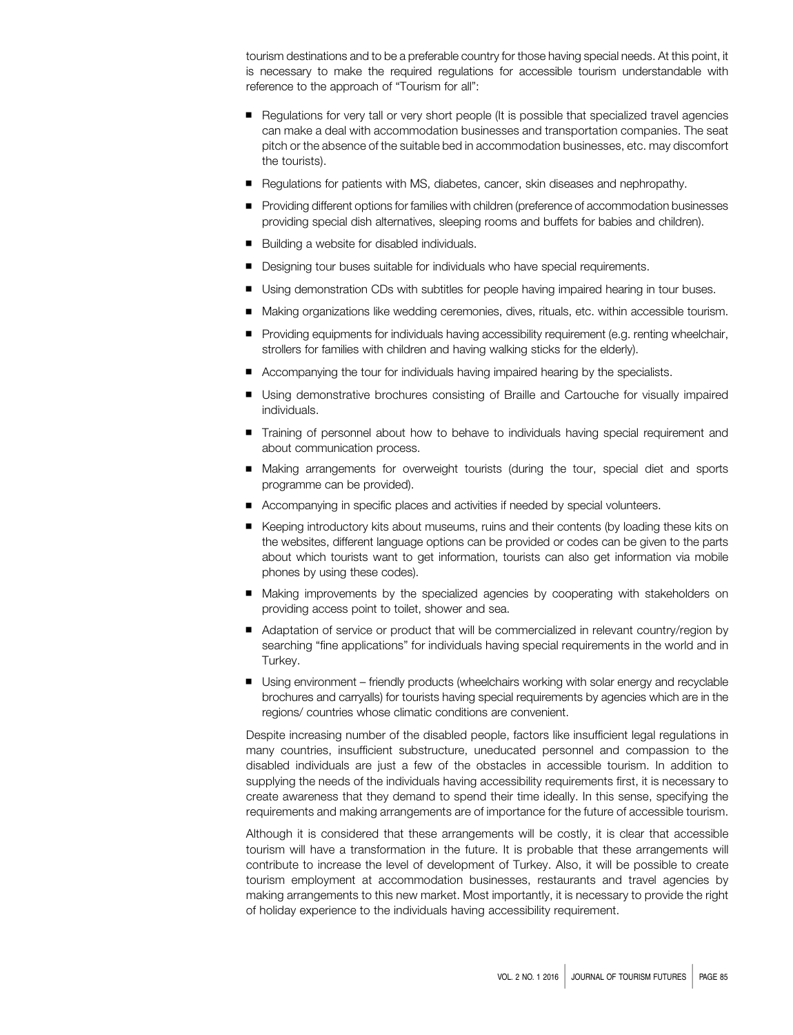tourism destinations and to be a preferable country for those having special needs. At this point, it is necessary to make the required regulations for accessible tourism understandable with reference to the approach of "Tourism for all":

- Regulations for very tall or very short people (It is possible that specialized travel agencies can make a deal with accommodation businesses and transportation companies. The seat pitch or the absence of the suitable bed in accommodation businesses, etc. may discomfort the tourists).
- Regulations for patients with MS, diabetes, cancer, skin diseases and nephropathy.
- Providing different options for families with children (preference of accommodation businesses providing special dish alternatives, sleeping rooms and buffets for babies and children).
- Building a website for disabled individuals.
- Designing tour buses suitable for individuals who have special requirements.
- Using demonstration CDs with subtitles for people having impaired hearing in tour buses.
- Making organizations like wedding ceremonies, dives, rituals, etc. within accessible tourism.
- Providing equipments for individuals having accessibility requirement (e.g. renting wheelchair, strollers for families with children and having walking sticks for the elderly).
- Accompanying the tour for individuals having impaired hearing by the specialists.
- Using demonstrative brochures consisting of Braille and Cartouche for visually impaired individuals.
- Training of personnel about how to behave to individuals having special requirement and about communication process.
- Making arrangements for overweight tourists (during the tour, special diet and sports programme can be provided).
- Accompanying in specific places and activities if needed by special volunteers.
- Keeping introductory kits about museums, ruins and their contents (by loading these kits on the websites, different language options can be provided or codes can be given to the parts about which tourists want to get information, tourists can also get information via mobile phones by using these codes).
- Making improvements by the specialized agencies by cooperating with stakeholders on providing access point to toilet, shower and sea.
- Adaptation of service or product that will be commercialized in relevant country/region by searching "fine applications" for individuals having special requirements in the world and in Turkey.
- Using environment friendly products (wheelchairs working with solar energy and recyclable brochures and carryalls) for tourists having special requirements by agencies which are in the regions/ countries whose climatic conditions are convenient.

Despite increasing number of the disabled people, factors like insufficient legal regulations in many countries, insufficient substructure, uneducated personnel and compassion to the disabled individuals are just a few of the obstacles in accessible tourism. In addition to supplying the needs of the individuals having accessibility requirements first, it is necessary to create awareness that they demand to spend their time ideally. In this sense, specifying the requirements and making arrangements are of importance for the future of accessible tourism.

Although it is considered that these arrangements will be costly, it is clear that accessible tourism will have a transformation in the future. It is probable that these arrangements will contribute to increase the level of development of Turkey. Also, it will be possible to create tourism employment at accommodation businesses, restaurants and travel agencies by making arrangements to this new market. Most importantly, it is necessary to provide the right of holiday experience to the individuals having accessibility requirement.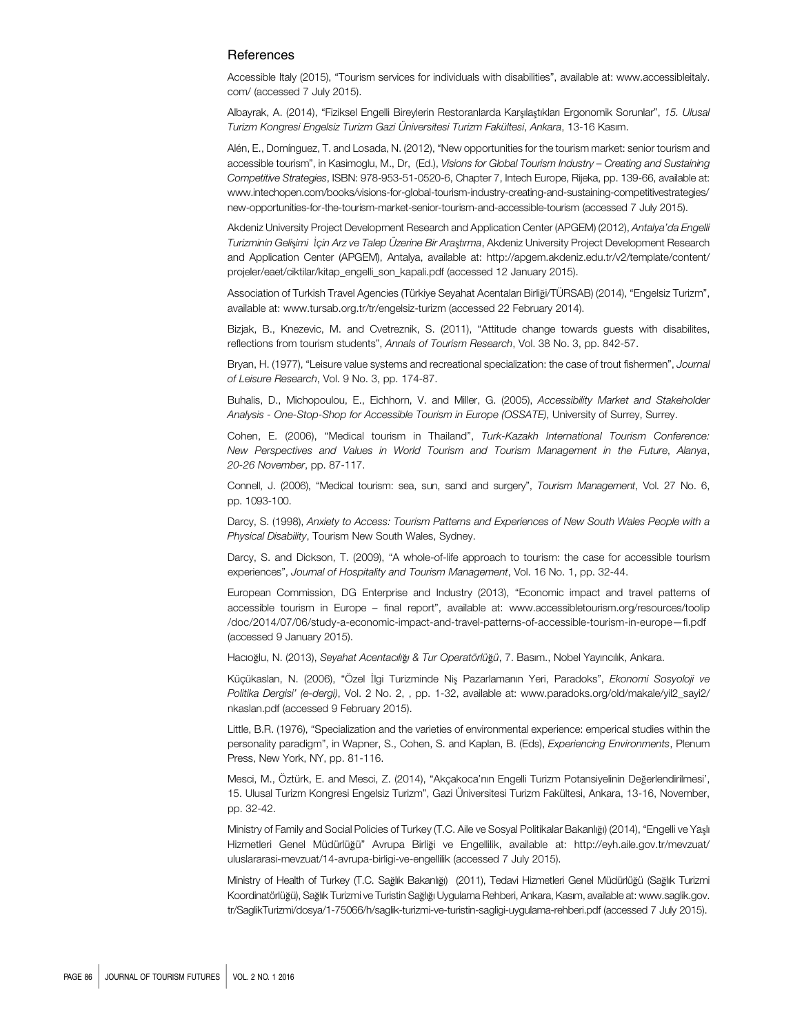#### References

Accessible Italy (2015), "Tourism services for individuals with disabilities", available at: [www.accessibleitaly.](www.accessibleitaly.com/) [com/](www.accessibleitaly.com/) (accessed 7 July 2015).

Albayrak, A. (2014), "Fiziksel Engelli Bireylerin Restoranlarda Karşılaştıkları Ergonomik Sorunlar", 15. Ulusal Turizm Kongresi Engelsiz Turizm Gazi Üniversitesi Turizm Fakültesi, Ankara, 13-16 Kasım.

Alén, E., Domínguez, T. and Losada, N. (2012), "New opportunities for the tourism market: senior tourism and accessible tourism", in Kasimoglu, M., Dr, (Ed.), Visions for Global Tourism Industry – Creating and Sustaining Competitive Strategies, ISBN: 978-953-51-0520-6, Chapter 7, Intech Europe, Rijeka, pp. 139-66, available at: [www.intechopen.com/books/visions-for-global-tourism-industry-creating-and-sustaining-competitivestrategies/](www.intechopen.com/books/visions-for-global-tourism-industry-creating-and-sustaining-competitivestrategies/new-opportunities-for-the-tourism-market-senior-tourism-and-accessible-tourism) [new-opportunities-for-the-tourism-market-senior-tourism-and-accessible-tourism](www.intechopen.com/books/visions-for-global-tourism-industry-creating-and-sustaining-competitivestrategies/new-opportunities-for-the-tourism-market-senior-tourism-and-accessible-tourism) (accessed 7 July 2015).

Akdeniz University Project Development Research and Application Center (APGEM) (2012), Antalya'da Engelli Turizminin Gelişimi İçin Arz ve Talep Üzerine Bir Araştırma, Akdeniz University Project Development Research and Application Center (APGEM), Antalya, available at: [http://apgem.akdeniz.edu.tr/v2/template/content/](http://apgem.akdeniz.edu.tr/v2/template/content/projeler/eaet/ciktilar/kitap_engelli_son_kapali.pdf) [projeler/eaet/ciktilar/kitap\\_engelli\\_son\\_kapali.pdf](http://apgem.akdeniz.edu.tr/v2/template/content/projeler/eaet/ciktilar/kitap_engelli_son_kapali.pdf) (accessed 12 January 2015).

Association of Turkish Travel Agencies (Türkiye Seyahat Acentaları Birliği/TÜRSAB) (2014), "Engelsiz Turizm", available at:<www.tursab.org.tr/tr/engelsiz-turizm> (accessed 22 February 2014).

Bizjak, B., Knezevic, M. and Cvetreznik, S. (2011), "Attitude change towards guests with disabilites, reflections from tourism students", Annals of Tourism Research, Vol. 38 No. 3, pp. 842-57.

Bryan, H. (1977), "Leisure value systems and recreational specialization: the case of trout fishermen", Journal of Leisure Research, Vol. 9 No. 3, pp. 174-87.

Buhalis, D., Michopoulou, E., Eichhorn, V. and Miller, G. (2005), Accessibility Market and Stakeholder Analysis - One-Stop-Shop for Accessible Tourism in Europe (OSSATE), University of Surrey, Surrey.

Cohen, E. (2006), "Medical tourism in Thailand", Turk-Kazakh International Tourism Conference: New Perspectives and Values in World Tourism and Tourism Management in the Future, Alanya, 20-26 November, pp. 87-117.

Connell, J. (2006), "Medical tourism: sea, sun, sand and surgery", Tourism Management, Vol. 27 No. 6, pp. 1093-100.

Darcy, S. (1998), Anxiety to Access: Tourism Patterns and Experiences of New South Wales People with a Physical Disability, Tourism New South Wales, Sydney.

Darcy, S. and Dickson, T. (2009), "A whole-of-life approach to tourism: the case for accessible tourism experiences", Journal of Hospitality and Tourism Management, Vol. 16 No. 1, pp. 32-44.

European Commission, DG Enterprise and Industry (2013), "Economic impact and travel patterns of accessible tourism in Europe – final report", available at: [www.accessibletourism.org/resources/toolip](www.accessibletourism.org/resources/toolip/doc/2014/07/06/study-a-economic-impact-and-travel-patterns-of-accessible-tourism-in-europe---fi.pdf) [/doc/2014/07/06/study-a-economic-impact-and-travel-patterns-of-accessible-tourism-in-europe](www.accessibletourism.org/resources/toolip/doc/2014/07/06/study-a-economic-impact-and-travel-patterns-of-accessible-tourism-in-europe---fi.pdf)—fi.pdf (accessed 9 January 2015).

Hacıoğlu, N. (2013), Seyahat Acentacılığı & Tur Operatörlüğü, 7. Basım., Nobel Yayıncılık, Ankara.

Küçükaslan, N. (2006), "Özel I˙lgi Turizminde Niş Pazarlamanın Yeri, Paradoks", Ekonomi Sosyoloji ve Politika Dergisi' (e-dergi), Vol. 2 No. 2, , pp. 1-32, available at: [www.paradoks.org/old/makale/yil2\\_sayi2/](www.paradoks.org/old/makale/yil2_sayi2/nkaslan.pdf) [nkaslan.pdf](www.paradoks.org/old/makale/yil2_sayi2/nkaslan.pdf) (accessed 9 February 2015).

Little, B.R. (1976), "Specialization and the varieties of environmental experience: emperical studies within the personality paradigm", in Wapner, S., Cohen, S. and Kaplan, B. (Eds), Experiencing Environments, Plenum Press, New York, NY, pp. 81-116.

Mesci, M., Öztürk, E. and Mesci, Z. (2014), "Akçakoca'nın Engelli Turizm Potansiyelinin Değerlendirilmesi', 15. Ulusal Turizm Kongresi Engelsiz Turizm", Gazi Üniversitesi Turizm Fakültesi, Ankara, 13-16, November, pp. 32-42.

Ministry of Family and Social Policies of Turkey (T.C. Aile ve Sosyal Politikalar Bakanlığı) (2014), "Engelli ve Yaşlı Hizmetleri Genel Müdürlüğü" Avrupa Birliği ve Engellilik, available at: [http://eyh.aile.gov.tr/mevzuat/](http://eyh.aile.gov.tr/mevzuat/uluslararasi-mevzuat/14-avrupa-birligi-ve-engellilik) [uluslararasi-mevzuat/14-avrupa-birligi-ve-engellilik](http://eyh.aile.gov.tr/mevzuat/uluslararasi-mevzuat/14-avrupa-birligi-ve-engellilik) (accessed 7 July 2015).

Ministry of Health of Turkey (T.C. Sağlık Bakanlığı) (2011), Tedavi Hizmetleri Genel Müdürlüğü (Sağlık Turizmi Koordinatörlüğü), Sağlık Turizmi ve Turistin Sağlığı Uygulama Rehberi, Ankara, Kasım, available at: [www.saglik.gov.](www.saglik.gov.tr/SaglikTurizmi/dosya/1-75066/h/saglik-turizmi-ve-turistin-sagligi-uygulama-rehberi.pdf) [tr/SaglikTurizmi/dosya/1-75066/h/saglik-turizmi-ve-turistin-sagligi-uygulama-rehberi.pdf](www.saglik.gov.tr/SaglikTurizmi/dosya/1-75066/h/saglik-turizmi-ve-turistin-sagligi-uygulama-rehberi.pdf) (accessed 7 July 2015).